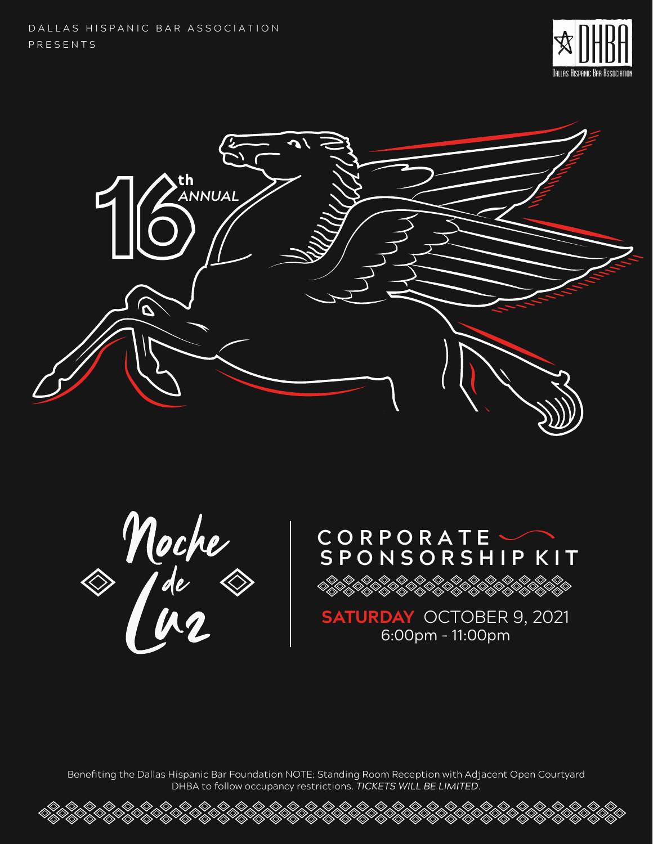DALLAS HISPANIC BAR ASSOCIATION P R E S E N T S





Moche<br>A fée &



**SATURDAY** OCTOBER 9, 2021 6:00pm - 11:00pm

Benefiting the Dallas Hispanic Bar Foundation NOTE: Standing Room Reception with Adjacent Open Courtyard DHBA to follow occupancy restrictions. *TICKETS WILL BE LIMITED*.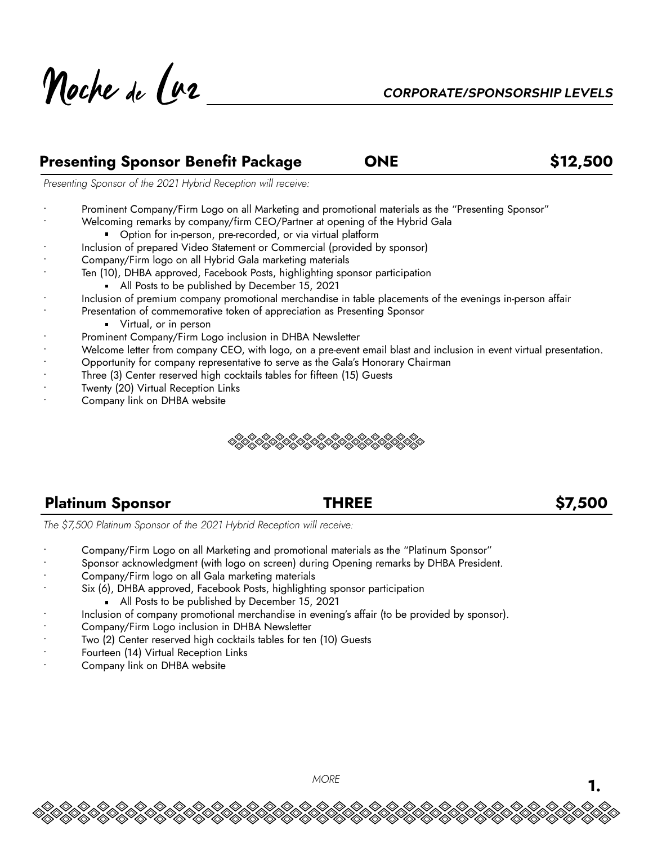Noche de l'az

### **Presenting Sponsor Benefit Package CONE 612,500**

*Presenting Sponsor of the 2021 Hybrid Reception will receive:*

- Prominent Company/Firm Logo on all Marketing and promotional materials as the "Presenting Sponsor"
	- Welcoming remarks by company/firm CEO/Partner at opening of the Hybrid Gala
		- **D**ption for in-person, pre-recorded, or via virtual platform
- Inclusion of prepared Video Statement or Commercial (provided by sponsor)
- Company/Firm logo on all Hybrid Gala marketing materials
- Ten (10), DHBA approved, Facebook Posts, highlighting sponsor participation
	- All Posts to be published by December 15, 2021
- Inclusion of premium company promotional merchandise in table placements of the evenings in-person affair
- Presentation of commemorative token of appreciation as Presenting Sponsor
	- **Virtual, or in person**
- Prominent Company/Firm Logo inclusion in DHBA Newsletter
- Welcome letter from company CEO, with logo, on a pre-event email blast and inclusion in event virtual presentation.
- Opportunity for company representative to serve as the Gala's Honorary Chairman
- Three (3) Center reserved high cocktails tables for fifteen (15) Guests
- Twenty (20) Virtual Reception Links
- Company link on DHBA website



### **Platinum Sponsor THREE \$7,500**

*The \$7,500 Platinum Sponsor of the 2021 Hybrid Reception will receive:*

- Company/Firm Logo on all Marketing and promotional materials as the "Platinum Sponsor"
- Sponsor acknowledgment (with logo on screen) during Opening remarks by DHBA President.
- Company/Firm logo on all Gala marketing materials
- Six (6), DHBA approved, Facebook Posts, highlighting sponsor participation
	- All Posts to be published by December 15, 2021
- Inclusion of company promotional merchandise in evening's affair (to be provided by sponsor).
- Company/Firm Logo inclusion in DHBA Newsletter
- Two (2) Center reserved high cocktails tables for ten (10) Guests
- Fourteen (14) Virtual Reception Links
- Company link on DHBA website

*MORE* **1.**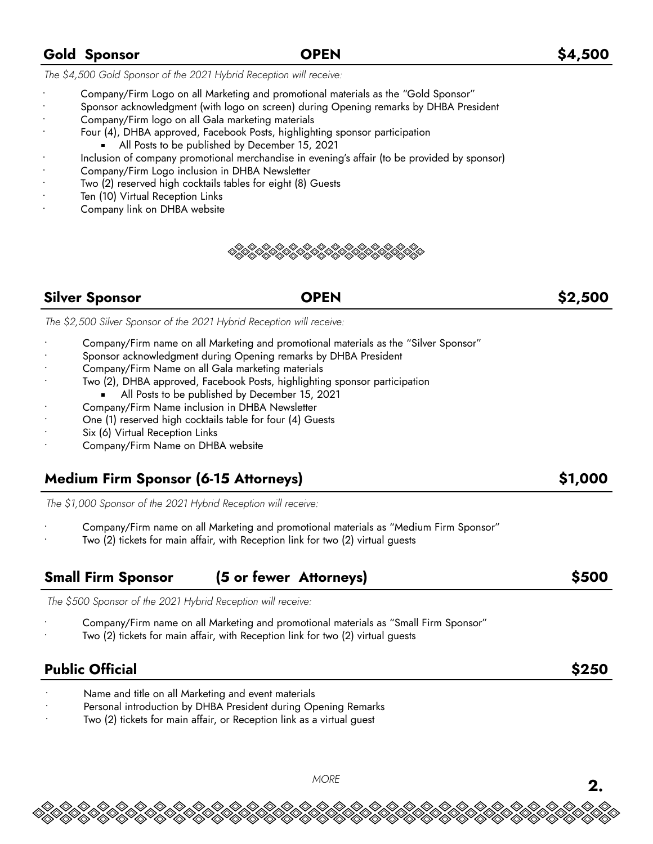### • Company/Firm Logo on all Marketing and promotional materials as the "Gold Sponsor" • Sponsor acknowledgment (with logo on screen) during Opening remarks by DHBA President

• Company/Firm logo on all Gala marketing materials

*The \$4,500 Gold Sponsor of the 2021 Hybrid Reception will receive:*

- Four (4), DHBA approved, Facebook Posts, highlighting sponsor participation
	- All Posts to be published by December 15, 2021
- Inclusion of company promotional merchandise in evening's affair (to be provided by sponsor)
- Company/Firm Logo inclusion in DHBA Newsletter
- Two (2) reserved high cocktails tables for eight (8) Guests
- Ten (10) Virtual Reception Links
- Company link on DHBA website



### **Silver Sponsor OPEN \$2,500**

*The \$2,500 Silver Sponsor of the 2021 Hybrid Reception will receive:*

- Company/Firm name on all Marketing and promotional materials as the "Silver Sponsor"
- Sponsor acknowledgment during Opening remarks by DHBA President
- Company/Firm Name on all Gala marketing materials
- Two (2), DHBA approved, Facebook Posts, highlighting sponsor participation
	- All Posts to be published by December 15, 2021
- Company/Firm Name inclusion in DHBA Newsletter
- One (1) reserved high cocktails table for four (4) Guests
- Six (6) Virtual Reception Links
- Company/Firm Name on DHBA website

### **Medium Firm Sponsor (6-15 Attorneys) \$1,000**

*The \$1,000 Sponsor of the 2021 Hybrid Reception will receive:*

- Company/Firm name on all Marketing and promotional materials as "Medium Firm Sponsor"
- Two (2) tickets for main affair, with Reception link for two (2) virtual guests

## **Small Firm Sponsor (5 or fewer Attorneys) \$500**

*The \$500 Sponsor of the 2021 Hybrid Reception will receive:*

- Company/Firm name on all Marketing and promotional materials as "Small Firm Sponsor"
- Two (2) tickets for main affair, with Reception link for two (2) virtual guests

## **Public Official \$250**

- Name and title on all Marketing and event materials
- Personal introduction by DHBA President during Opening Remarks
- Two (2) tickets for main affair, or Reception link as a virtual guest

# *MORE* **2.**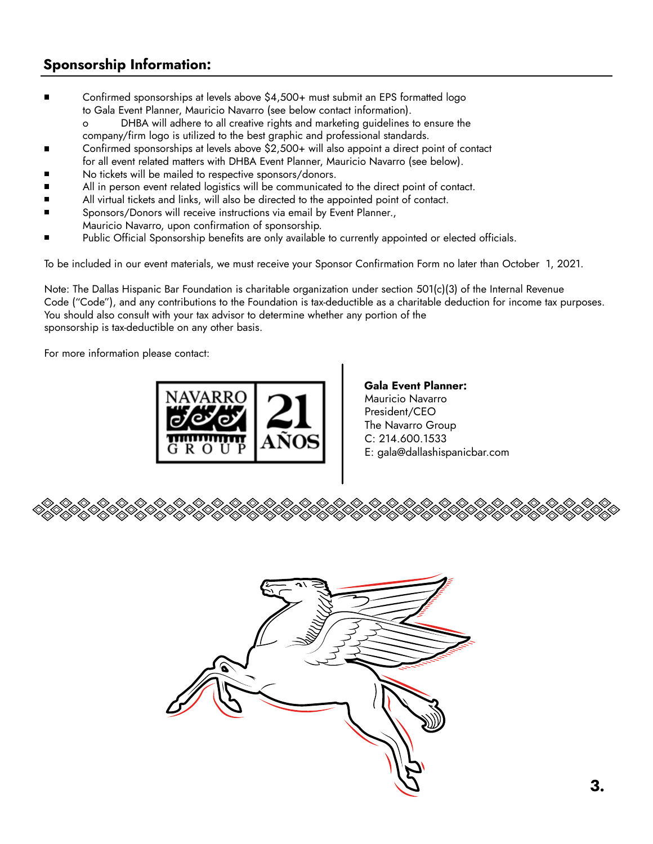### **Sponsorship Information:**

- Confirmed sponsorships at levels above \$4,500+ must submit an EPS formatted logo to Gala Event Planner, Mauricio Navarro (see below contact information).
	- o DHBA will adhere to all creative rights and marketing guidelines to ensure the
	- company/firm logo is utilized to the best graphic and professional standards.
- Confirmed sponsorships at levels above \$2,500+ will also appoint a direct point of contact
- for all event related matters with DHBA Event Planner, Mauricio Navarro (see below).
- No tickets will be mailed to respective sponsors/donors.
- All in person event related logistics will be communicated to the direct point of contact.
- All virtual tickets and links, will also be directed to the appointed point of contact.
- Sponsors/Donors will receive instructions via email by Event Planner., Mauricio Navarro, upon confirmation of sponsorship.
- Public Official Sponsorship benefits are only available to currently appointed or elected officials.

To be included in our event materials, we must receive your Sponsor Confirmation Form no later than October 1, 2021.

Note: The Dallas Hispanic Bar Foundation is charitable organization under section 501(c)(3) of the Internal Revenue Code ("Code"), and any contributions to the Foundation is tax-deductible as a charitable deduction for income tax purposes. You should also consult with your tax advisor to determine whether any portion of the sponsorship is tax-deductible on any other basis.

For more information please contact:



Mauricio Navarro President/CEO The Navarro Group C: 214.600.1533 E: gala@dallashispanicbar.com **Gala Event Planner:**